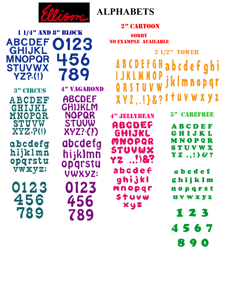

0123

456

789

1 1/4" and 8" block



#### 2" CARTOON

**SORRY** No example Available

2 1/2" Tower**ABCDEFGH** abcdefghi JkImnopqr  $\mathbf{U}$ stuvwxyz  $XYI, !$  } & ?

4" JELLYBEAN ABCDEF GHIJKL MNOPOR STUVWX YZ ..!)&? abcdef ghijkl mnopar

stuvw

xyz

ABCDEF GHIJKL MNOPQR **STUVWX**  $YZ, (!) 8?$ 

5" CAREFREE

abcdef ghijklm nopqrst **UVWXYZ** 

123 4567

890

**YZ?.(!)** 3" circus 4" vagabond **ABCDEF** GHIJKL MNOPOR **STUVW XYZ.?(!)** 

**ABCDEF** 

**GHIJKL** 

**MNOPQR** 

**STUVWX** 

abcdefg hijklmn<br>opqrstu VWXYZ:

0123 456 789

**ABCDEF GHIJKLM NOPQR STUVW** XYZ?·(!) abcdefg hijklmn opgrstu **VWXYZ;** 0123 456 789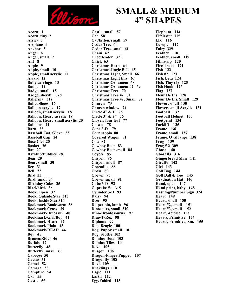

**Acorn 1 Acorn, tiny 2 Africa 3 Airplane 4 Anchor 5 Angel 6 Angel, small 7 Ant 8 Apple 9 Apple, small 10 Apple, small acrylic 11 Award 12 Baby carriage 13 Badge 14 Badge, small 15 Badge, sheriff 328 Ballerina 312 Ballet Shoes 16 Balloon acrylic 17 Balloon, small acrylic 18 Balloon, Heart acrylic 19 Balloon, Heart small acrylic 20 Balloons 21 Barn 22 Baseball, Bat, Glove 23 Baseball Cap 24 Base Clef 25 Basket 26 Bat 27 Bathtub/Bubbles 28 Bear 29 Bear, small 30 Bee 31 Bell 32 Bird 33 Bird, small 34 Birthday Cake 35 Blackbirds 36 Book, Open 37 Book, Outside Star 313 Book, Inside Star 314 Bookmark-Bookworm 38 Bookmark-Cross 39 Bookmark-Dinosaur 40 Bookmark-Girl/Boy 41 Bookmark-Heart 42 Bookmark-Plain 43 Bookmark-READ 44 Boy 45 Bronco/Rider 46 Buffalo 47 Butterfly 48 Butterfly, small 49 Caboose 50 Cactus 51 Camel 52 Camera 53 Campfire 54 Car 55 Castle 56**

**Castle, small 57 Cat 58 Cat/kitten, small 59 Cedar Tree 60 Cedar Tree, small 61 Chain 62 Cheerleader 321 Chick 63 Christmas Horn 64 Christmas Jingle Bell 65 Christmas Light, Small 66 Christmas Light tiny 67 Christmas Ornament 68 Christmas Ornament #2 69 Christmas Tree 70 Christmas Tree #2 71 Christmas Tree #2, Small 72 Church 73 Church window 74 Circle 4" & 1" 75 Circle 3" & 2" 76 Clover, four leaf 77 Clown 78 Cone 3-D 79 Cornucopia 80 Covered Wagon 81 Cow 82 Cowboy Boot 83 Cowboy Boot small 84 Coyote 85 Crayon 86 Crayon small 87 Crocodile 88 Cross 89 Crown 90 Crown, small 91 Cube 3-D 92 Cupcake #1 315 Cylinder 3-D 93 Daisy 94 Deer 95 Diaper pin, lamb 96 Dinosaurs, small 310 Dino-Brontosaurus 97 Dino-T-Rex 98 Diploma 99 Dog, Beagle 100 Dog, Puppy small 101 Dog, Scottie 102 Domino Dots 103 Domino Tiles 104 Dove 105 Dragon 106 Dragon-Finger Puppet 107 Dragonfly 108 Duck 109 Ducklings 110 Eagle 111 Earth 112 Egg/Folded 113**

## **SMALL & MEDIUM 4" SHAPES**

**Elephant 114 Elf/Jester 115 Elk 116 Europe 117 Fairy 329 Feather 118 Feather, small 119 Filmstrip 120 Fire Truck 121 Fish 122 Fish #2 123 Fish, Beta 124 Fish, Tiny (4) 125 Fish Hook 126 Flag 127 Fleur De Lis 128 Fleur De Lis, Small 129 Flower, small 130 Flower, small Acrylic 131 Football 132 Football Helmet 133 Footprint 134 Forklift 135 Frame 136 Frame, small 137 Frame, Oval large 138 Frog 139 Frog # 2 309 Ghost 140 Ghost #3 316 Gingerbread Man 141 Giraffe 142 Girl 143 Golf Bag 144 Golf Ball & Tee 145 Graduation Hat 146 Hand, open 147 Hand print, baby 148 Hashtag/Number Sign 324 Heart 149 Heart, small 150 Heart #2, small 151 Heart #3, small 152 Heart, Acrylic 153 Hearts, Primitive 154 Hearts, Primitive, Sm. 155**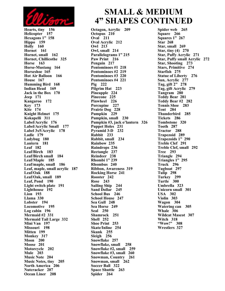

**Hearts, tiny 156 Helicopter 157 Hexagons 1" 158 Hippo 159 Holly 160 Hornet 161 Hornet, small 162 Hornet, Chillicothe 325 Horse 163 Horse-Mustang 164 Horseshoe 165 Hot Air Balloon 166 House 167 Humming Bird 168 Indian Head 169 Jack in the Box 170 Jeep 171 Kangaroo 172 Key 173 Kite 174 Knight Helmet 175 Kokapelli 311 Label/Acrylic 176 Label/Acrylic Small 177 Label 3x5/Acrylic 178 Ladle 179 Ladybug 180 Lantern 181 Leaf 182 Leaf/Birch 183 Leaf/Birch small 184 Leaf/Maple 185 Leaf/maple, small 186 Leaf, maple, small acrylic 187 Leaf/Oak 188 Leaf/Oak, small 189 Leaf, Pond 190 Light switch plate 191 Lighthouse 192 Lion 193 Llama 330 Lobster 194 Locomotive 195 Log cabin 196 Mermaid #2 331 Mermaid Tail Large 332 Mini Van 197 Missouri 198 Mitten 199 Monkey 317 Moon 200 Moose 201 Motorcycle 202 Mule 203 Music Note 204 Music Notes, tiny 205 North America 206 Nutcracker 207 Ocean Liner 208**

### **SMALL & MEDIUM 4" SHAPES CONTINUED**

**Octagon, Acrylic 209 Octopus 210 Oval 211 Oval Acrylic 212 Owl 213 Owl, small 214 Parallelograms 1" 215 Paw Print 216 Penguin 217 Pentominoes #1 218 Pentominoes #2 219 Pentominoes #3 220 Pentominoes #4 221 Pig 222 Pilgrim Hat 223 Pineapple 224 Pinecone 225 Pinwheel 226 Porcupine 227 Prairie Dog 228 Pumpkin 229 Pumpkin, small 230 Pumpkin #3, jack o'lantern 326 Puppet Holes 231 Pyramid 3-D 232 Rabbit 233 Rabbit, small 234 Rainbow 235 Raindrops 236 Rectangle 237 Reindeer 238 Rhombi 1" 239 Rhombus 240 Ribbon, Awareness 319 Rocking Horse 241 Rooster 242 Rose 243 Sailing Ship 244 Sand Dollar 245 School Bus 246 School House 247 Sea Gull 248 Sea Horse 249 Seal 250 Shamrock 251 Shell 252 Shoe Print 253 Skate/Inline 254 Skunk 255 Sleigh 256 Snowflake 257 Snowflake, small 258 Snowflake #2, small 259 Snowflake #3, small 260 Snowman, Country 261 Snowman, small 262 Soccer Ball 322 Space Shuttle 263 Spider 264**

**Spider web 265 Square 266 Squares 1" 267 Star 268 Star, small 269 Star, tiny (4) 270 Star, Puffy Acrylic 271 Star, Puffy small Acrylic 272 Star, Shooting 273 Stars, Primitive 274 Starfish 275 Statue of Liberty 276 Sun, Acrylic 277 Tag, gift 2" 278 Tag, gift Acrylic 279 Tangram 280 Teddy Bear 281 Teddy Bear #2 282 Tennis Shoe 283 Tent 284 Thunderbird 285 Tickets 286 Tombstone 320 Tooth 287 Tractor 288 Trapezoid 289 Trapezoids 1" 290 Treble Clef 291 Treble Clef, small 292 Tree 293 Triangle 294 Triangles 1" 295 Truck 296 Tugboat 297 Tulip 298 Turkey 299 Turtle 300 Umbrella 323 Unicorn small 301 USA 302 Violin 303 Wagon 304 Watering can 305 Whale 306 Wildcat Mascot 307 Witch 318 "Wow!" 308 Wrestlers 327**